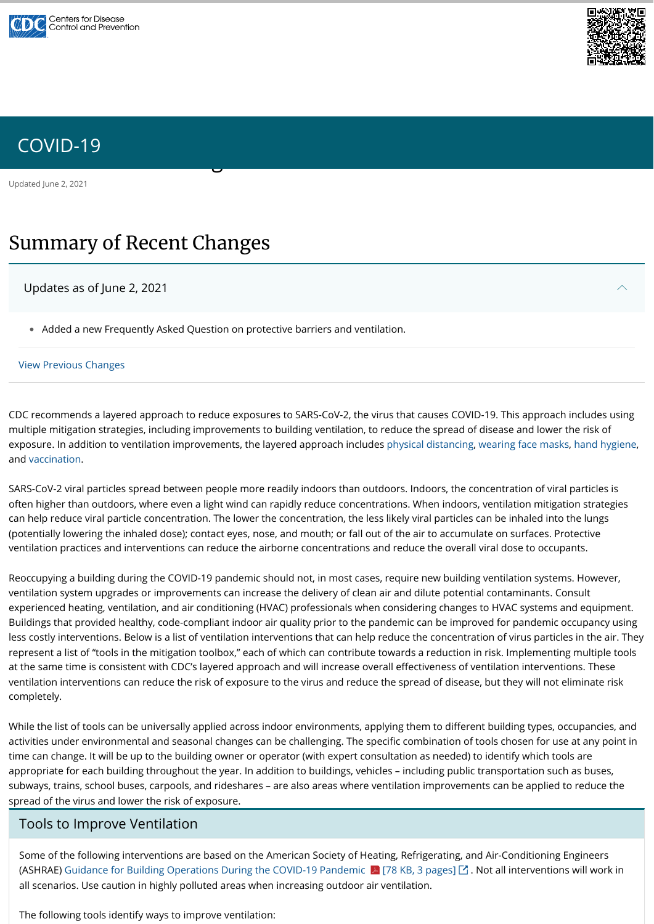Updated June 2, 2021

## Summary of Recent Changes

Added a new Frequently Asked Question on protective barriers and ventilation. •

#### [View Previous Changes](#page-9-0)

Updates as of June 2, 2021

CDC recommends a layered approach to reduce exposures to SARS-CoV-2, the virus that causes COVID-19. This approach includes using multiple mitigation strategies, including improvements to building ventilation, to reduce the spread of disease and lower the risk of exposure. In addition to ventilation improvements, the layered approach includes [physical distancing](https://www.cdc.gov/coronavirus/2019-ncov/prevent-getting-sick/prevention.html#stay6ft%20), [wearing face masks](https://www.cdc.gov/coronavirus/2019-ncov/prevent-getting-sick/diy-cloth-face-coverings.html), [hand hygiene](https://www.cdc.gov/handwashing/when-how-handwashing.html), and [vaccination](https://www.cdc.gov/coronavirus/2019-ncov/vaccines/index.html).

SARS-CoV-2 viral particles spread between people more readily indoors than outdoors. Indoors, the concentration of viral particles is often higher than outdoors, where even a light wind can rapidly reduce concentrations. When indoors, ventilation mitigation strategies can help reduce viral particle concentration. The lower the concentration, the less likely viral particles can be inhaled into the lungs (potentially lowering the inhaled dose); contact eyes, nose, and mouth; or fall out of the air to accumulate on surfaces. Protective ventilation practices and interventions can reduce the airborne concentrations and reduce the overall viral dose to occupants.





## Ventilation in Buildings [COVID-19](https://www.cdc.gov/coronavirus/2019-nCoV/index.html)

Reoccupying a building during the COVID-19 pandemic should not, in most cases, require new building ventilation systems. However, ventilation system upgrades or improvements can increase the delivery of clean air and dilute potential contaminants. Consult experienced heating, ventilation, and air conditioning (HVAC) professionals when considering changes to HVAC systems and equipment. Buildings that provided healthy, code-compliant indoor air quality prior to the pandemic can be improved for pandemic occupancy using less costly interventions. Below is a list of ventilation interventions that can help reduce the concentration of virus particles in the air. They represent a list of "tools in the mitigation toolbox," each of which can contribute towards a reduction in risk. Implementing multiple tools at the same time is consistent with CDC's layered approach and will increase overall effectiveness of ventilation interventions. These ventilation interventions can reduce the risk of exposure to the virus and reduce the spread of disease, but they will not eliminate risk completely.

While the list of tools can be universally applied across indoor environments, applying them to different building types, occupancies, and activities under environmental and seasonal changes can be challenging. The specific combination of tools chosen for use at any point in time can change. It will be up to the building owner or operator (with expert consultation as needed) to identify which tools are appropriate for each building throughout the year. In addition to buildings, vehicles – including public transportation such as buses, subways, trains, school buses, carpools, and rideshares – are also areas where ventilation improvements can be applied to reduce the spread of the virus and lower the risk of exposure.

## Tools to Improve Ventilation

Some of the following interventions are based on the American Society of Heating, Refrigerating, and Air-Conditioning Engineers (ASHRAE) Guidance for Building Operations During the COVID-19 Pandemic [A] [78 KB, 3 pages]  $\Box$  . Not all interventions will work in all scenarios. Use caution in highly polluted areas when increasing outdoor air ventilation.

The following tools identify ways to improve ventilation: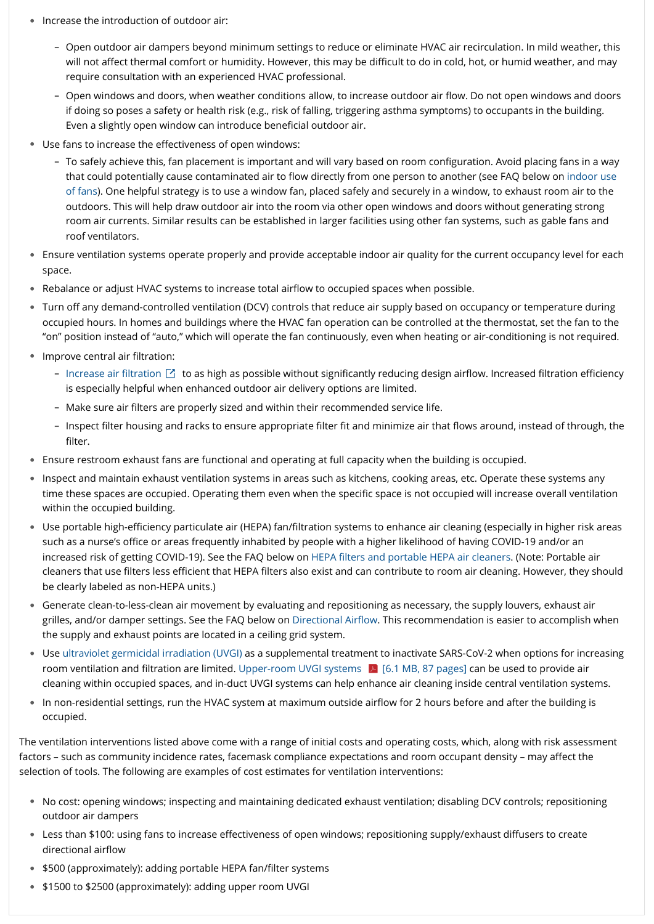- Increase the introduction of outdoor air: •
	- Open outdoor air dampers beyond minimum settings to reduce or eliminate HVAC air recirculation. In mild weather, this will not affect thermal comfort or humidity. However, this may be difficult to do in cold, hot, or humid weather, and may require consultation with an experienced HVAC professional.
	- Open windows and doors, when weather conditions allow, to increase outdoor air flow. Do not open windows and doors if doing so poses a safety or health risk (e.g., risk of falling, triggering asthma symptoms) to occupants in the building. Even a slightly open window can introduce beneficial outdoor air.
- Use fans to increase the effectiveness of open windows:
	- To safely achieve this, fan placement is important and will vary based on room configuration. Avoid placing fans in a way [that could potentially cause contaminated air to flow directly from one person to another \(see FAQ below on indoor use](#page-9-1) of fans). One helpful strategy is to use a window fan, placed safely and securely in a window, to exhaust room air to the outdoors. This will help draw outdoor air into the room via other open windows and doors without generating strong room air currents. Similar results can be established in larger facilities using other fan systems, such as gable fans and roof ventilators.
- Ensure ventilation systems operate properly and provide acceptable indoor air quality for the current occupancy level for each space.
- Rebalance or adjust HVAC systems to increase total airflow to occupied spaces when possible.  $\bullet$
- Turn off any demand-controlled ventilation (DCV) controls that reduce air supply based on occupancy or temperature during occupied hours. In homes and buildings where the HVAC fan operation can be controlled at the thermostat, set the fan to the "on" position instead of "auto," which will operate the fan continuously, even when heating or air-conditioning is not required.  $\bullet$
- Improve central air filtration:  $\bullet$ 
	- [Increase air filtration](https://www.ashrae.org/technical-resources/filtration-disinfection#mechanical)  $\boxtimes$  to as high as possible without significantly reducing design airflow. Increased filtration efficiency is especially helpful when enhanced outdoor air delivery options are limited.
	- Make sure air filters are properly sized and within their recommended service life. -
	- Inspect filter housing and racks to ensure appropriate filter fit and minimize air that flows around, instead of through, the filter.
- Ensure restroom exhaust fans are functional and operating at full capacity when the building is occupied. •
- Inspect and maintain exhaust ventilation systems in areas such as kitchens, cooking areas, etc. Operate these systems any time these spaces are occupied. Operating them even when the specific space is not occupied will increase overall ventilation within the occupied building. •
- Use portable high-efficiency particulate air (HEPA) fan/filtration systems to enhance air cleaning (especially in higher risk areas such as a nurse's office or areas frequently inhabited by people with a higher likelihood of having COVID-19 and/or an increased risk of getting COVID-19). See the FAQ below on [HEPA filters and portable HEPA air cleaners.](#page-4-0) (Note: Portable air cleaners that use filters less efficient that HEPA filters also exist and can contribute to room air cleaning. However, they should be clearly labeled as non-HEPA units.)
- Generate clean-to-less-clean air movement by evaluating and repositioning as necessary, the supply louvers, exhaust air grilles, and/or damper settings. See the FAQ below on [Directional Airflow](#page-3-0). This recommendation is easier to accomplish when the supply and exhaust points are located in a ceiling grid system.  $\bullet$
- Use [ultraviolet germicidal irradiation \(UVGI\)](https://www.cdc.gov/coronavirus/2019-ncov/community/ventilation/UVGI.html) as a supplemental treatment to inactivate SARS-CoV-2 when options for increasing room ventilation and filtration are limited. Upper-room UVGI systems  $[4]$  [6.1 MB, 87 pages] can be used to provide air cleaning within occupied spaces, and in-duct UVGI systems can help enhance air cleaning inside central ventilation systems.
- In non-residential settings, run the HVAC system at maximum outside airflow for 2 hours before and after the building is occupied.

- No cost: opening windows; inspecting and maintaining dedicated exhaust ventilation; disabling DCV controls; repositioning outdoor air dampers
- Less than \$100: using fans to increase effectiveness of open windows; repositioning supply/exhaust diffusers to create directional airflow
- \$500 (approximately): adding portable HEPA fan/filter systems  $\bullet$
- \$1500 to \$2500 (approximately): adding upper room UVGI  $\bullet$

The ventilation interventions listed above come with a range of initial costs and operating costs, which, along with risk assessment factors – such as community incidence rates, facemask compliance expectations and room occupant density – may affect the selection of tools. The following are examples of cost estimates for ventilation interventions: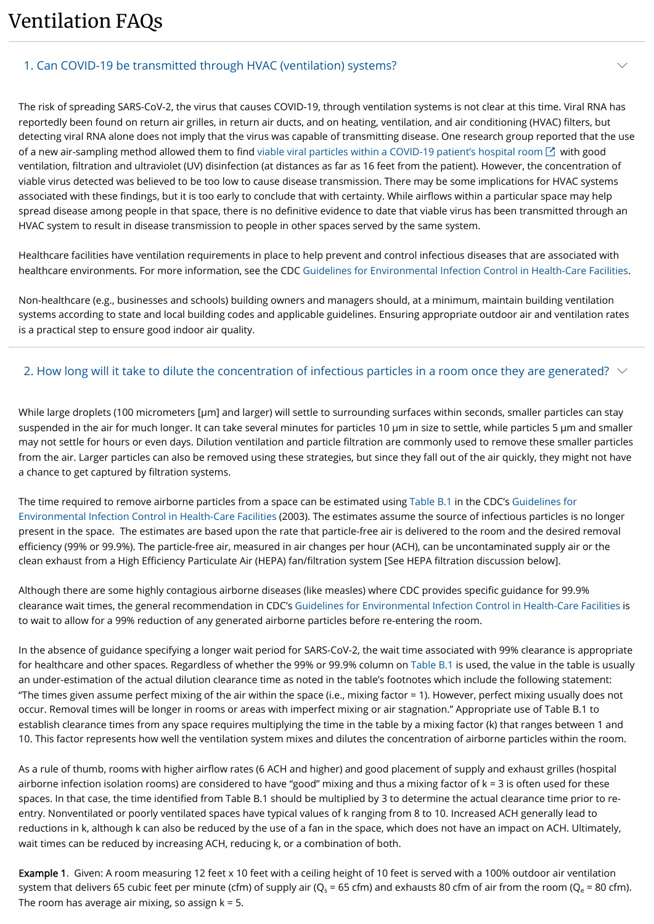The risk of spreading SARS-CoV-2, the virus that causes COVID-19, through ventilation systems is not clear at this time. Viral RNA has reportedly been found on return air grilles, in return air ducts, and on heating, ventilation, and air conditioning (HVAC) filters, but detecting viral RNA alone does not imply that the virus was capable of transmitting disease. One research group reported that the use of a new air-sampling method allowed them to find [viable viral particles within a COVID-19 patient's hospital room](https://reader.elsevier.com/reader/sd/pii/S1201971220307396?token=A64023F619182536348B84545098F44BA3B0B91F7A184BDFC88800C083DBFAF8758ABBCA9AE879B9209E9678D2272A85)  $\boxtimes$  with good ventilation, filtration and ultraviolet (UV) disinfection (at distances as far as 16 feet from the patient). However, the concentration of viable virus detected was believed to be too low to cause disease transmission. There may be some implications for HVAC systems associated with these findings, but it is too early to conclude that with certainty. While airflows within a particular space may help spread disease among people in that space, there is no definitive evidence to date that viable virus has been transmitted through an HVAC system to result in disease transmission to people in other spaces served by the same system.

Healthcare facilities have ventilation requirements in place to help prevent and control infectious diseases that are associated with healthcare environments. For more information, see the CDC [Guidelines for Environmental Infection Control in Health-Care Facilities](https://www.cdc.gov/infectioncontrol/guidelines/environmental/index.html).

Non-healthcare (e.g., businesses and schools) building owners and managers should, at a minimum, maintain building ventilation systems according to state and local building codes and applicable guidelines. Ensuring appropriate outdoor air and ventilation rates is a practical step to ensure good indoor air quality.

## 2. How long will it take to dilute the concentration of infectious particles in a room once they are generated?  $~\vee~$

## 1. Can COVID-19 be transmitted through HVAC (ventilation) systems?

While large droplets (100 micrometers [µm] and larger) will settle to surrounding surfaces within seconds, smaller particles can stay suspended in the air for much longer. It can take several minutes for particles 10 µm in size to settle, while particles 5 µm and smaller may not settle for hours or even days. Dilution ventilation and particle filtration are commonly used to remove these smaller particles from the air. Larger particles can also be removed using these strategies, but since they fall out of the air quickly, they might not have a chance to get captured by filtration systems.

[The time required to remove airborne particles from a space can be estimated using T](https://www.cdc.gov/infectioncontrol/guidelines/environmental/index.html)[able B.](https://www.cdc.gov/infectioncontrol/guidelines/environmental/appendix/air.html)[1 in the CDC's Guidelines for](https://www.cdc.gov/infectioncontrol/guidelines/environmental/index.html) Environmental Infection Control in Health-Care Facilities (2003). The estimates assume the source of infectious particles is no longer present in the space. The estimates are based upon the rate that particle-free air is delivered to the room and the desired removal efficiency (99% or 99.9%). The particle-free air, measured in air changes per hour (ACH), can be uncontaminated supply air or the clean exhaust from a High Efficiency Particulate Air (HEPA) fan/filtration system [See HEPA filtration discussion below].

Although there are some highly contagious airborne diseases (like measles) where CDC provides specific guidance for 99.9% clearance wait times, the general recommendation in CDC's [Guidelines for Environmental Infection Control in Health-Care Facilities](https://www.cdc.gov/infectioncontrol/guidelines/environmental/index.html) is to wait to allow for a 99% reduction of any generated airborne particles before re-entering the room.

In the absence of guidance specifying a longer wait period for SARS-CoV-2, the wait time associated with 99% clearance is appropriate for healthcare and other spaces. Regardless of whether the 99% or 99.9% column on [Table B.1](https://www.cdc.gov/infectioncontrol/guidelines/environmental/appendix/air.html) is used, the value in the table is usually an under-estimation of the actual dilution clearance time as noted in the table's footnotes which include the following statement: "The times given assume perfect mixing of the air within the space (i.e., mixing factor = 1). However, perfect mixing usually does not occur. Removal times will be longer in rooms or areas with imperfect mixing or air stagnation." Appropriate use of Table B.1 to establish clearance times from any space requires multiplying the time in the table by a mixing factor (k) that ranges between 1 and 10. This factor represents how well the ventilation system mixes and dilutes the concentration of airborne particles within the room.

 $\vee$ 

As a rule of thumb, rooms with higher airflow rates (6 ACH and higher) and good placement of supply and exhaust grilles (hospital airborne infection isolation rooms) are considered to have "good" mixing and thus a mixing factor of k = 3 is often used for these spaces. In that case, the time identified from Table B.1 should be multiplied by 3 to determine the actual clearance time prior to reentry. Nonventilated or poorly ventilated spaces have typical values of k ranging from 8 to 10. Increased ACH generally lead to reductions in k, although k can also be reduced by the use of a fan in the space, which does not have an impact on ACH. Ultimately, wait times can be reduced by increasing ACH, reducing k, or a combination of both.

Example 1. Given: A room measuring 12 feet x 10 feet with a ceiling height of 10 feet is served with a 100% outdoor air ventilation system that delivers 65 cubic feet per minute (cfm) of supply air (Q<sub>s</sub> = 65 cfm) and exhausts 80 cfm of air from the room (Q<sub>e</sub> = 80 cfm). The room has average air mixing, so assign  $k = 5$ .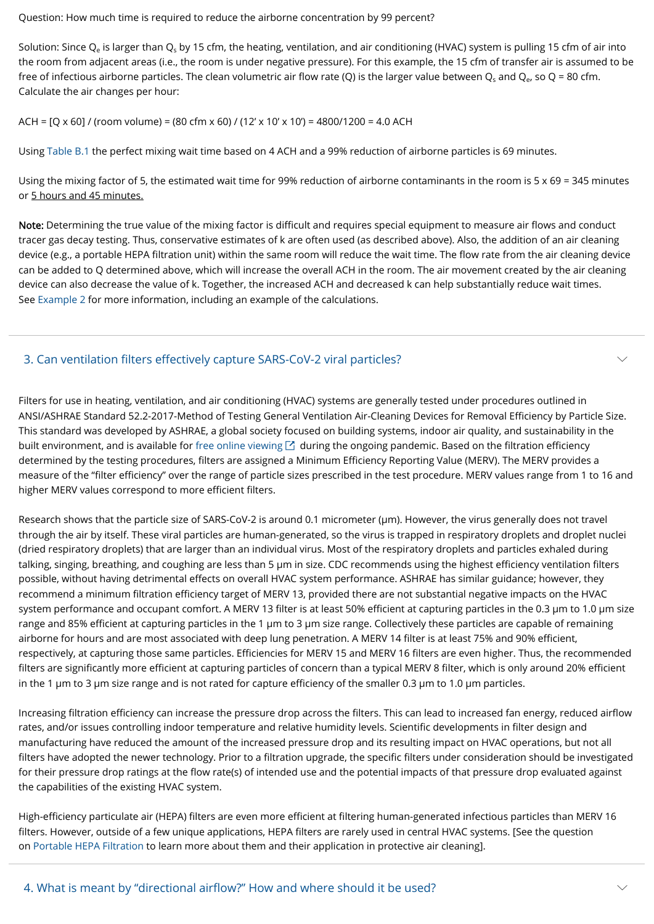Question: How much time is required to reduce the airborne concentration by 99 percent?

Solution: Since Q $_{\rm e}$  is larger than Q $_{\rm s}$  by 15 cfm, the heating, ventilation, and air conditioning (HVAC) system is pulling 15 cfm of air into the room from adjacent areas (i.e., the room is under negative pressure). For this example, the 15 cfm of transfer air is assumed to be free of infectious airborne particles. The clean volumetric air flow rate (Q) is the larger value between Q<sub>s</sub> and Q<sub>e</sub>, so Q = 80 cfm. Calculate the air changes per hour:

ACH = [Q x 60] / (room volume) = (80 cfm x 60) / (12' x 10' x 10') = 4800/1200 = 4.0 ACH

Using [Table B.1](https://www.cdc.gov/infectioncontrol/guidelines/environmental/appendix/air.html) the perfect mixing wait time based on 4 ACH and a 99% reduction of airborne particles is 69 minutes.

Using the mixing factor of 5, the estimated wait time for 99% reduction of airborne contaminants in the room is 5 x 69 = 345 minutes or 5 hours and 45 minutes.

Note: Determining the true value of the mixing factor is difficult and requires special equipment to measure air flows and conduct tracer gas decay testing. Thus, conservative estimates of k are often used (as described above). Also, the addition of an air cleaning device (e.g., a portable HEPA filtration unit) within the same room will reduce the wait time. The flow rate from the air cleaning device can be added to Q determined above, which will increase the overall ACH in the room. The air movement created by the air cleaning device can also decrease the value of k. Together, the increased ACH and decreased k can help substantially reduce wait times. See Example 2 for more information, including an example of the calculations.

Filters for use in heating, ventilation, and air conditioning (HVAC) systems are generally tested under procedures outlined in ANSI/ASHRAE Standard 52.2-2017-Method of Testing General Ventilation Air-Cleaning Devices for Removal Efficiency by Particle Size. This standard was developed by ASHRAE, a global society focused on building systems, indoor air quality, and sustainability in the built environment, and is available for [free online viewing](https://www.ashrae.org/technical-resources/ashrae-standards-and-guidelines)  $\boxtimes$  during the ongoing pandemic. Based on the filtration efficiency determined by the testing procedures, filters are assigned a Minimum Efficiency Reporting Value (MERV). The MERV provides a measure of the "filter efficiency" over the range of particle sizes prescribed in the test procedure. MERV values range from 1 to 16 and higher MERV values correspond to more efficient filters.

 $\smile$ 

 $\smile$ 

Research shows that the particle size of SARS-CoV-2 is around 0.1 micrometer (µm). However, the virus generally does not travel through the air by itself. These viral particles are human-generated, so the virus is trapped in respiratory droplets and droplet nuclei (dried respiratory droplets) that are larger than an individual virus. Most of the respiratory droplets and particles exhaled during talking, singing, breathing, and coughing are less than 5 µm in size. CDC recommends using the highest efficiency ventilation filters possible, without having detrimental effects on overall HVAC system performance. ASHRAE has similar guidance; however, they recommend a minimum filtration efficiency target of MERV 13, provided there are not substantial negative impacts on the HVAC system performance and occupant comfort. A MERV 13 filter is at least 50% efficient at capturing particles in the 0.3 µm to 1.0 µm size range and 85% efficient at capturing particles in the 1 µm to 3 µm size range. Collectively these particles are capable of remaining airborne for hours and are most associated with deep lung penetration. A MERV 14 filter is at least 75% and 90% efficient, respectively, at capturing those same particles. Efficiencies for MERV 15 and MERV 16 filters are even higher. Thus, the recommended filters are significantly more efficient at capturing particles of concern than a typical MERV 8 filter, which is only around 20% efficient in the 1 µm to 3 µm size range and is not rated for capture efficiency of the smaller 0.3 µm to 1.0 µm particles.

Increasing filtration efficiency can increase the pressure drop across the filters. This can lead to increased fan energy, reduced airflow rates, and/or issues controlling indoor temperature and relative humidity levels. Scientific developments in filter design and manufacturing have reduced the amount of the increased pressure drop and its resulting impact on HVAC operations, but not all filters have adopted the newer technology. Prior to a filtration upgrade, the specific filters under consideration should be investigated for their pressure drop ratings at the flow rate(s) of intended use and the potential impacts of that pressure drop evaluated against the capabilities of the existing HVAC system.

High-efficiency particulate air (HEPA) filters are even more efficient at filtering human-generated infectious particles than MERV 16 filters. However, outside of a few unique applications, HEPA filters are rarely used in central HVAC systems. [See the question on [Portable HEPA Filtration](#page-4-0) to learn more about them and their application in protective air cleaning].

## 3. Can ventilation filters effectively capture SARS-CoV-2 viral particles?

<span id="page-3-0"></span>4. What is meant by "directional airflow?" How and where should it be used?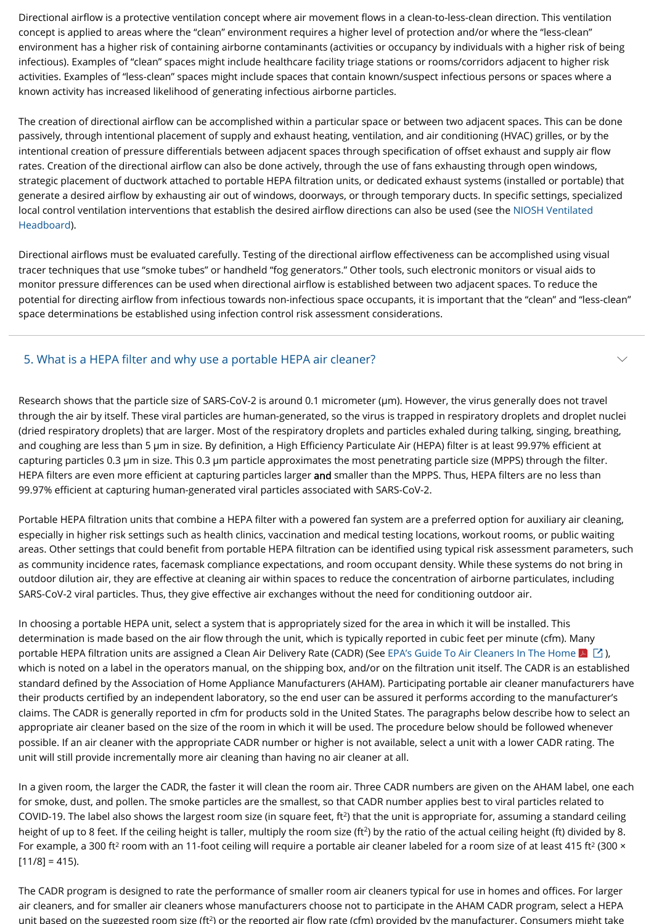Directional airflow is a protective ventilation concept where air movement flows in a clean-to-less-clean direction. This ventilation concept is applied to areas where the "clean" environment requires a higher level of protection and/or where the "less-clean" environment has a higher risk of containing airborne contaminants (activities or occupancy by individuals with a higher risk of being infectious). Examples of "clean" spaces might include healthcare facility triage stations or rooms/corridors adjacent to higher risk activities. Examples of "less-clean" spaces might include spaces that contain known/suspect infectious persons or spaces where a known activity has increased likelihood of generating infectious airborne particles.

The creation of directional airflow can be accomplished within a particular space or between two adjacent spaces. This can be done passively, through intentional placement of supply and exhaust heating, ventilation, and air conditioning (HVAC) grilles, or by the intentional creation of pressure differentials between adjacent spaces through specification of offset exhaust and supply air flow rates. Creation of the directional airflow can also be done actively, through the use of fans exhausting through open windows, strategic placement of ductwork attached to portable HEPA filtration units, or dedicated exhaust systems (installed or portable) that generate a desired airflow by exhausting air out of windows, doorways, or through temporary ducts. In specific settings, specialized [local control ventilation interventions that establish the desired airflow directions can also be used \(see the NIOSH Ventilated](https://blogs.cdc.gov/niosh-science-blog/2020/04/14/ventilated-headboard/) Headboard).

<span id="page-4-0"></span>Research shows that the particle size of SARS-CoV-2 is around 0.1 micrometer (µm). However, the virus generally does not travel through the air by itself. These viral particles are human-generated, so the virus is trapped in respiratory droplets and droplet nuclei (dried respiratory droplets) that are larger. Most of the respiratory droplets and particles exhaled during talking, singing, breathing, and coughing are less than 5 µm in size. By definition, a High Efficiency Particulate Air (HEPA) filter is at least 99.97% efficient at capturing particles 0.3 µm in size. This 0.3 µm particle approximates the most penetrating particle size (MPPS) through the filter. HEPA filters are even more efficient at capturing particles larger and smaller than the MPPS. Thus, HEPA filters are no less than 99.97% efficient at capturing human-generated viral particles associated with SARS-CoV-2.

Directional airflows must be evaluated carefully. Testing of the directional airflow effectiveness can be accomplished using visual tracer techniques that use "smoke tubes" or handheld "fog generators." Other tools, such electronic monitors or visual aids to monitor pressure differences can be used when directional airflow is established between two adjacent spaces. To reduce the potential for directing airflow from infectious towards non-infectious space occupants, it is important that the "clean" and "less-clean" space determinations be established using infection control risk assessment considerations.

 $\smile$ 

In a given room, the larger the CADR, the faster it will clean the room air. Three CADR numbers are given on the AHAM label, one each for smoke, dust, and pollen. The smoke particles are the smallest, so that CADR number applies best to viral particles related to COVID-19. The label also shows the largest room size (in square feet, ft $^2$ ) that the unit is appropriate for, assuming a standard ceiling height of up to 8 feet. If the ceiling height is taller, multiply the room size (ft<sup>2</sup>) by the ratio of the actual ceiling height (ft) divided by 8. For example, a 300 ft<sup>2</sup> room with an 11-foot ceiling will require a portable air cleaner labeled for a room size of at least 415 ft<sup>2</sup> (300 ×  $[11/8] = 415$ ).

The CADR program is designed to rate the performance of smaller room air cleaners typical for use in homes and offices. For larger air cleaners, and for smaller air cleaners whose manufacturers choose not to participate in the AHAM CADR program, select a HEPA unit based on the suggested room size (ft<sup>2</sup>) or the reported air flow rate (cfm) provided by the manufacturer. Consumers might take

Portable HEPA filtration units that combine a HEPA filter with a powered fan system are a preferred option for auxiliary air cleaning, especially in higher risk settings such as health clinics, vaccination and medical testing locations, workout rooms, or public waiting areas. Other settings that could benefit from portable HEPA filtration can be identified using typical risk assessment parameters, such as community incidence rates, facemask compliance expectations, and room occupant density. While these systems do not bring in outdoor dilution air, they are effective at cleaning air within spaces to reduce the concentration of airborne particulates, including SARS-CoV-2 viral particles. Thus, they give effective air exchanges without the need for conditioning outdoor air.

In choosing a portable HEPA unit, select a system that is appropriately sized for the area in which it will be installed. This determination is made based on the air flow through the unit, which is typically reported in cubic feet per minute (cfm). Many portable HEPA filtration units are assigned a Clean Air Delivery Rate (CADR) (See [EPA's Guide To Air Cleaners In The Home](https://www.epa.gov/sites/production/files/2018-07/documents/guide_to_air_cleaners_in_the_home_2nd_edition.pdf)  $\blacktriangle|\Box$ ), which is noted on a label in the operators manual, on the shipping box, and/or on the filtration unit itself. The CADR is an established standard defined by the Association of Home Appliance Manufacturers (AHAM). Participating portable air cleaner manufacturers have their products certified by an independent laboratory, so the end user can be assured it performs according to the manufacturer's claims. The CADR is generally reported in cfm for products sold in the United States. The paragraphs below describe how to select an appropriate air cleaner based on the size of the room in which it will be used. The procedure below should be followed whenever possible. If an air cleaner with the appropriate CADR number or higher is not available, select a unit with a lower CADR rating. The unit will still provide incrementally more air cleaning than having no air cleaner at all.

### 5. What is a HEPA filter and why use a portable HEPA air cleaner?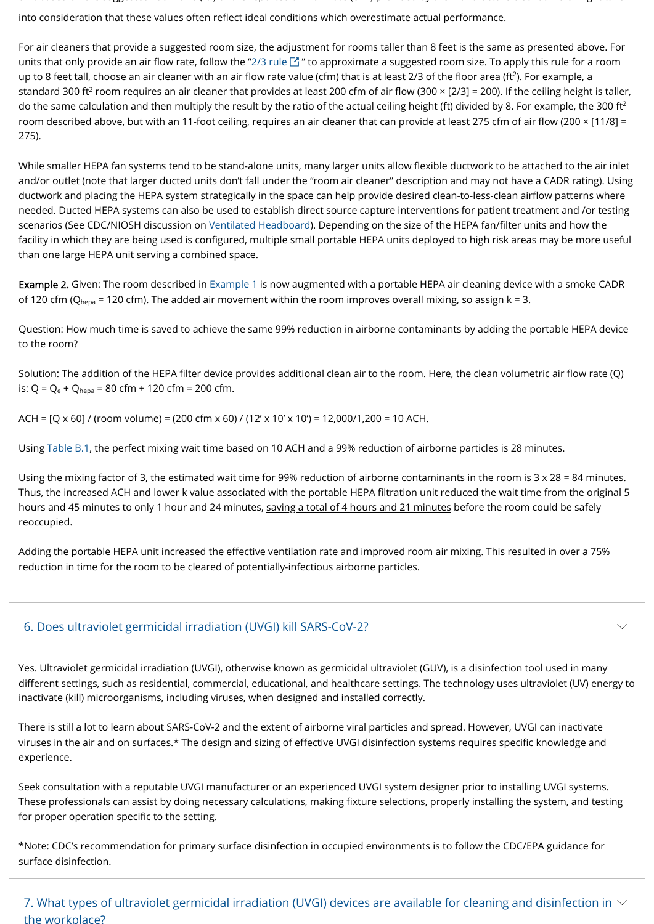unit based on the suggested room size (ft ) or the reported air flow rate (cfm) provided by the manufacturer. Consumers might take into consideration that these values often reflect ideal conditions which overestimate actual performance.

For air cleaners that provide a suggested room size, the adjustment for rooms taller than 8 feet is the same as presented above. For units that only provide an air flow rate, follow the "[2/3 rule](https://ahamverifide.org/ahams-air-filtration-standards/#:~:text=Follow%20the%202%2F3%20Rule,area%20of%20120%20square%20feet.)  $\boxtimes$  " to approximate a suggested room size. To apply this rule for a room up to 8 feet tall, choose an air cleaner with an air flow rate value (cfm) that is at least 2/3 of the floor area (ft²). For example, a standard 300 ft<sup>2</sup> room requires an air cleaner that provides at least 200 cfm of air flow (300 × [2/3] = 200). If the ceiling height is taller, do the same calculation and then multiply the result by the ratio of the actual ceiling height (ft) divided by 8. For example, the 300 ft<sup>2</sup> room described above, but with an 11-foot ceiling, requires an air cleaner that can provide at least 275 cfm of air flow (200 × [11/8] = 275).

Example 2. Given: The room described in Example 1 is now augmented with a portable HEPA air cleaning device with a smoke CADR of 120 cfm (Q<sub>hepa</sub> = 120 cfm). The added air movement within the room improves overall mixing, so assign k = 3.

Solution: The addition of the HEPA filter device provides additional clean air to the room. Here, the clean volumetric air flow rate (Q) is: Q = Q<sub>e</sub> + Q<sub>hepa</sub> = 80 cfm + 120 cfm = 200 cfm.

ACH =  $[Q \times 60]$  / (room volume) = (200 cfm x 60) / (12' x 10' x 10') = 12,000/1,200 = 10 ACH.

While smaller HEPA fan systems tend to be stand-alone units, many larger units allow flexible ductwork to be attached to the air inlet and/or outlet (note that larger ducted units don't fall under the "room air cleaner" description and may not have a CADR rating). Using ductwork and placing the HEPA system strategically in the space can help provide desired clean-to-less-clean airflow patterns where needed. Ducted HEPA systems can also be used to establish direct source capture interventions for patient treatment and /or testing scenarios (See CDC/NIOSH discussion on [Ventilated Headboard\)](https://www.cdc.gov/niosh/topics/healthcare/engcontrolsolutions/ventilated-headboard.html). Depending on the size of the HEPA fan/filter units and how the facility in which they are being used is configured, multiple small portable HEPA units deployed to high risk areas may be more useful than one large HEPA unit serving a combined space.

Question: How much time is saved to achieve the same 99% reduction in airborne contaminants by adding the portable HEPA device to the room?

### 7. What types of ultraviolet germicidal irradiation (UVGI) devices are available for cleaning and disinfection in  $\vee$ the workplace?

Using [Table B.1,](https://www.cdc.gov/infectioncontrol/guidelines/environmental/appendix/air.html) the perfect mixing wait time based on 10 ACH and a 99% reduction of airborne particles is 28 minutes.

Using the mixing factor of 3, the estimated wait time for 99% reduction of airborne contaminants in the room is 3 x 28 = 84 minutes. Thus, the increased ACH and lower k value associated with the portable HEPA filtration unit reduced the wait time from the original 5 hours and 45 minutes to only 1 hour and 24 minutes, saving a total of 4 hours and 21 minutes before the room could be safely reoccupied.

Adding the portable HEPA unit increased the effective ventilation rate and improved room air mixing. This resulted in over a 75% reduction in time for the room to be cleared of potentially-infectious airborne particles.

Yes. Ultraviolet germicidal irradiation (UVGI), otherwise known as germicidal ultraviolet (GUV), is a disinfection tool used in many different settings, such as residential, commercial, educational, and healthcare settings. The technology uses ultraviolet (UV) energy to inactivate (kill) microorganisms, including viruses, when designed and installed correctly.

 $\smile$ 

There is still a lot to learn about SARS-CoV-2 and the extent of airborne viral particles and spread. However, UVGI can inactivate viruses in the air and on surfaces.\* The design and sizing of effective UVGI disinfection systems requires specific knowledge and experience.

Seek consultation with a reputable UVGI manufacturer or an experienced UVGI system designer prior to installing UVGI systems. These professionals can assist by doing necessary calculations, making fixture selections, properly installing the system, and testing for proper operation specific to the setting.

\*Note: CDC's recommendation for primary surface disinfection in occupied environments is to follow the CDC/EPA guidance for surface disinfection.

### 6. Does ultraviolet germicidal irradiation (UVGI) kill SARS-CoV-2?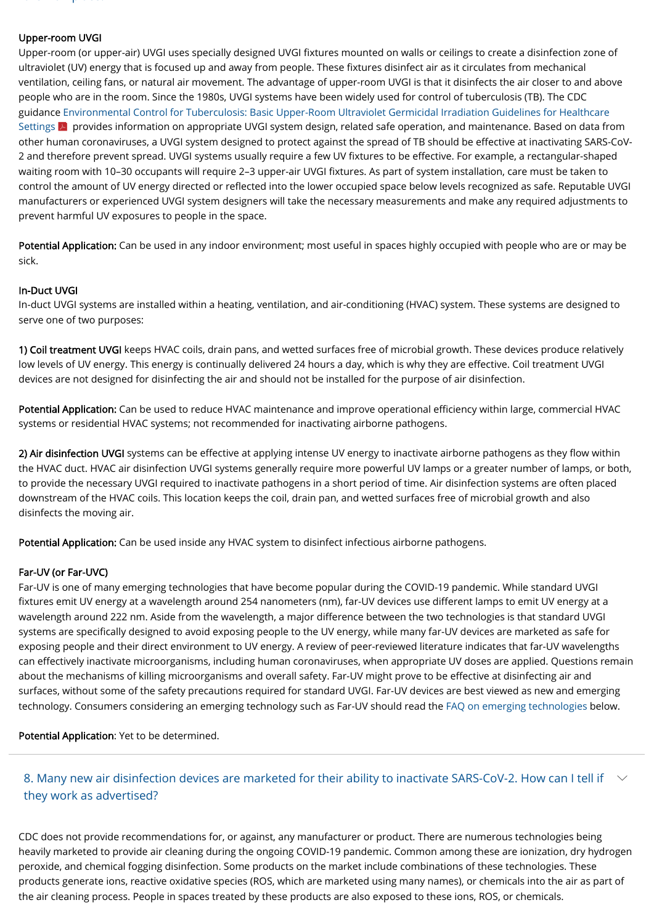#### the workplace?

#### Upper-room UVGI

Upper-room (or upper-air) UVGI uses specially designed UVGI fixtures mounted on walls or ceilings to create a disinfection zone of ultraviolet (UV) energy that is focused up and away from people. These fixtures disinfect air as it circulates from mechanical ventilation, ceiling fans, or natural air movement. The advantage of upper-room UVGI is that it disinfects the air closer to and above people who are in the room. Since the 1980s, UVGI systems have been widely used for control of tuberculosis (TB). The CDC [guidance Environmental Control for Tuberculosis: Basic Upper-Room Ultraviolet Germicidal Irradiation Guidelines for Healthcare](https://www.cdc.gov/niosh/docs/2009-105/pdfs/2009-105.pdf?id=10.26616/NIOSHPUB2009105) Settings  $\blacktriangleright$  provides information on appropriate UVGI system design, related safe operation, and maintenance. Based on data from other human coronaviruses, a UVGI system designed to protect against the spread of TB should be effective at inactivating SARS-CoV-2 and therefore prevent spread. UVGI systems usually require a few UV fixtures to be effective. For example, a rectangular-shaped waiting room with 10–30 occupants will require 2–3 upper-air UVGI fixtures. As part of system installation, care must be taken to control the amount of UV energy directed or reflected into the lower occupied space below levels recognized as safe. Reputable UVGI manufacturers or experienced UVGI system designers will take the necessary measurements and make any required adjustments to prevent harmful UV exposures to people in the space.

Potential Application: Can be used in any indoor environment; most useful in spaces highly occupied with people who are or may be sick.

2) Air disinfection UVGI systems can be effective at applying intense UV energy to inactivate airborne pathogens as they flow within the HVAC duct. HVAC air disinfection UVGI systems generally require more powerful UV lamps or a greater number of lamps, or both, to provide the necessary UVGI required to inactivate pathogens in a short period of time. Air disinfection systems are often placed downstream of the HVAC coils. This location keeps the coil, drain pan, and wetted surfaces free of microbial growth and also disinfects the moving air.

#### In-Duct UVGI

In-duct UVGI systems are installed within a heating, ventilation, and air-conditioning (HVAC) system. These systems are designed to serve one of two purposes:

1) Coil treatment UVGI keeps HVAC coils, drain pans, and wetted surfaces free of microbial growth. These devices produce relatively low levels of UV energy. This energy is continually delivered 24 hours a day, which is why they are effective. Coil treatment UVGI devices are not designed for disinfecting the air and should not be installed for the purpose of air disinfection.

Potential Application: Can be used to reduce HVAC maintenance and improve operational efficiency within large, commercial HVAC systems or residential HVAC systems; not recommended for inactivating airborne pathogens.

#### 8. Many new air disinfection devices are marketed for their ability to inactivate SARS-CoV-2. How can I tell if they work as advertised?  $\smile$

Potential Application: Can be used inside any HVAC system to disinfect infectious airborne pathogens.

#### Far-UV (or Far-UVC)

Far-UV is one of many emerging technologies that have become popular during the COVID-19 pandemic. While standard UVGI fixtures emit UV energy at a wavelength around 254 nanometers (nm), far-UV devices use different lamps to emit UV energy at a wavelength around 222 nm. Aside from the wavelength, a major difference between the two technologies is that standard UVGI systems are specifically designed to avoid exposing people to the UV energy, while many far-UV devices are marketed as safe for exposing people and their direct environment to UV energy. A review of peer-reviewed literature indicates that far-UV wavelengths can effectively inactivate microorganisms, including human coronaviruses, when appropriate UV doses are applied. Questions remain about the mechanisms of killing microorganisms and overall safety. Far-UV might prove to be effective at disinfecting air and surfaces, without some of the safety precautions required for standard UVGI. Far-UV devices are best viewed as new and emerging

technology. Consumers considering an emerging technology such as Far-UV should read the [FAQ on emerging technologies](#page-6-0) below.

Potential Application: Yet to be determined.

<span id="page-6-0"></span>CDC does not provide recommendations for, or against, any manufacturer or product. There are numerous technologies being heavily marketed to provide air cleaning during the ongoing COVID-19 pandemic. Common among these are ionization, dry hydrogen peroxide, and chemical fogging disinfection. Some products on the market include combinations of these technologies. These products generate ions, reactive oxidative species (ROS, which are marketed using many names), or chemicals into the air as part of the air cleaning process. People in spaces treated by these products are also exposed to these ions, ROS, or chemicals.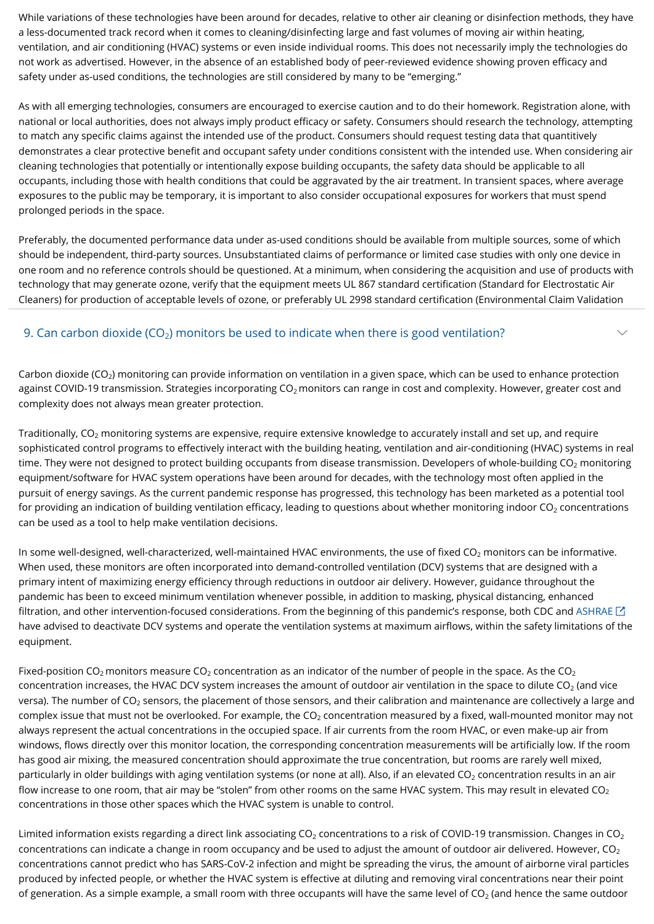While variations of these technologies have been around for decades, relative to other air cleaning or disinfection methods, they have a less-documented track record when it comes to cleaning/disinfecting large and fast volumes of moving air within heating, ventilation, and air conditioning (HVAC) systems or even inside individual rooms. This does not necessarily imply the technologies do not work as advertised. However, in the absence of an established body of peer-reviewed evidence showing proven efficacy and safety under as-used conditions, the technologies are still considered by many to be "emerging."

As with all emerging technologies, consumers are encouraged to exercise caution and to do their homework. Registration alone, with national or local authorities, does not always imply product efficacy or safety. Consumers should research the technology, attempting to match any specific claims against the intended use of the product. Consumers should request testing data that quantitively demonstrates a clear protective benefit and occupant safety under conditions consistent with the intended use. When considering air cleaning technologies that potentially or intentionally expose building occupants, the safety data should be applicable to all occupants, including those with health conditions that could be aggravated by the air treatment. In transient spaces, where average exposures to the public may be temporary, it is important to also consider occupational exposures for workers that must spend prolonged periods in the space.

Carbon dioxide (CO $_2$ ) monitoring can provide information on ventilation in a given space, which can be used to enhance protection against COVID-19 transmission. Strategies incorporating CO $_2$ monitors can range in cost and complexity. However, greater cost and complexity does not always mean greater protection.

Traditionally, CO $_2$  monitoring systems are expensive, require extensive knowledge to accurately install and set up, and require sophisticated control programs to effectively interact with the building heating, ventilation and air-conditioning (HVAC) systems in real time. They were not designed to protect building occupants from disease transmission. Developers of whole-building CO $_2$  monitoring equipment/software for HVAC system operations have been around for decades, with the technology most often applied in the pursuit of energy savings. As the current pandemic response has progressed, this technology has been marketed as a potential tool for providing an indication of building ventilation efficacy, leading to questions about whether monitoring indoor CO $_{\rm 2}$  concentrations can be used as a tool to help make ventilation decisions.

Preferably, the documented performance data under as-used conditions should be available from multiple sources, some of which should be independent, third-party sources. Unsubstantiated claims of performance or limited case studies with only one device in one room and no reference controls should be questioned. At a minimum, when considering the acquisition and use of products with technology that may generate ozone, verify that the equipment meets UL 867 standard certification (Standard for Electrostatic Air Cleaners) for production of acceptable levels of ozone, or preferably UL 2998 standard certification (Environmental Claim Validation

 $\smile$ 

## 9. Can carbon dioxide  $(CO_2)$  monitors be used to indicate when there is good ventilation?

In some well-designed, well-characterized, well-maintained HVAC environments, the use of fixed CO $_2$  monitors can be informative. When used, these monitors are often incorporated into demand-controlled ventilation (DCV) systems that are designed with a primary intent of maximizing energy efficiency through reductions in outdoor air delivery. However, guidance throughout the pandemic has been to exceed minimum ventilation whenever possible, in addition to masking, physical distancing, enhanced filtration, and other intervention-focused considerations. From the beginning of this pandemic's response, both CDC and [ASHRAE](https://www.ashrae.org/technical-resources/resources)  $\boxtimes$ have advised to deactivate DCV systems and operate the ventilation systems at maximum airflows, within the safety limitations of the equipment.

Fixed-position CO $_2$  monitors measure CO $_2$  concentration as an indicator of the number of people in the space. As the CO $_2$ concentration increases, the HVAC DCV system increases the amount of outdoor air ventilation in the space to dilute CO $_2$  (and vice versa). The number of CO $_2$  sensors, the placement of those sensors, and their calibration and maintenance are collectively a large and complex issue that must not be overlooked. For example, the CO $_2$  concentration measured by a fixed, wall-mounted monitor may not always represent the actual concentrations in the occupied space. If air currents from the room HVAC, or even make-up air from windows, flows directly over this monitor location, the corresponding concentration measurements will be artificially low. If the room has good air mixing, the measured concentration should approximate the true concentration, but rooms are rarely well mixed, particularly in older buildings with aging ventilation systems (or none at all). Also, if an elevated CO $_2$  concentration results in an air flow increase to one room, that air may be "stolen" from other rooms on the same HVAC system. This may result in elevated CO $_{\rm 2}$ concentrations in those other spaces which the HVAC system is unable to control.

Limited information exists regarding a direct link associating CO $_2$  concentrations to a risk of COVID-19 transmission. Changes in CO $_2$ concentrations can indicate a change in room occupancy and be used to adjust the amount of outdoor air delivered. However, CO $_{\rm 2}$ concentrations cannot predict who has SARS-CoV-2 infection and might be spreading the virus, the amount of airborne viral particles produced by infected people, or whether the HVAC system is effective at diluting and removing viral concentrations near their point of generation. As a simple example, a small room with three occupants will have the same level of CO $_2$  (and hence the same outdoor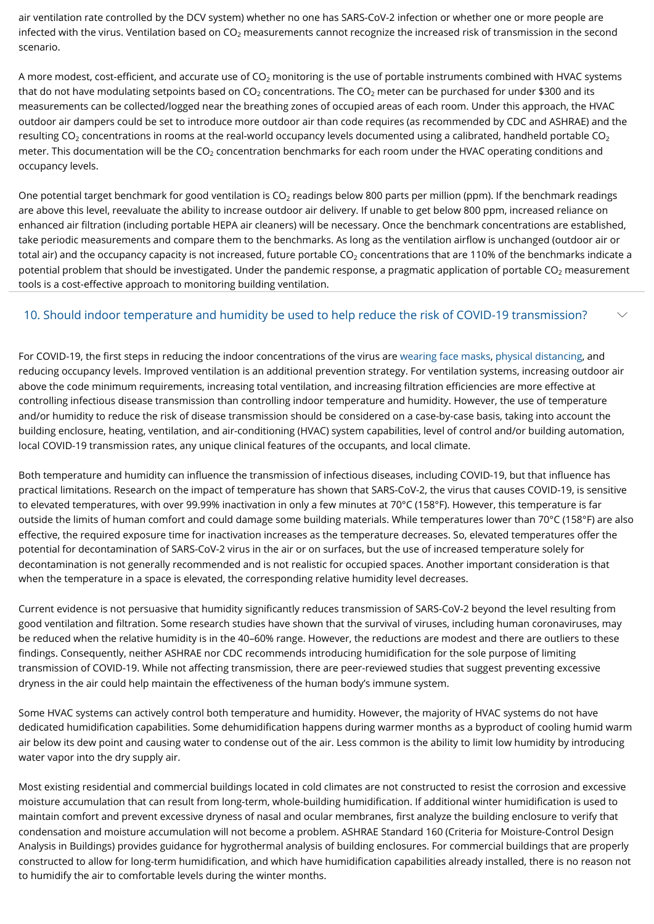air ventilation rate controlled by the DCV system) whether no one has SARS-CoV-2 infection or whether one or more people are infected with the virus. Ventilation based on CO $_2$  measurements cannot recognize the increased risk of transmission in the second scenario.

A more modest, cost-efficient, and accurate use of CO $_2$  monitoring is the use of portable instruments combined with HVAC systems that do not have modulating setpoints based on CO $_2$  concentrations. The CO $_2$  meter can be purchased for under \$300 and its measurements can be collected/logged near the breathing zones of occupied areas of each room. Under this approach, the HVAC outdoor air dampers could be set to introduce more outdoor air than code requires (as recommended by CDC and ASHRAE) and the resulting CO $_2$  concentrations in rooms at the real-world occupancy levels documented using a calibrated, handheld portable CO $_2$ meter. This documentation will be the CO $_2$  concentration benchmarks for each room under the HVAC operating conditions and occupancy levels.

One potential target benchmark for good ventilation is CO $_2$  readings below 800 parts per million (ppm). If the benchmark readings are above this level, reevaluate the ability to increase outdoor air delivery. If unable to get below 800 ppm, increased reliance on enhanced air filtration (including portable HEPA air cleaners) will be necessary. Once the benchmark concentrations are established, take periodic measurements and compare them to the benchmarks. As long as the ventilation airflow is unchanged (outdoor air or total air) and the occupancy capacity is not increased, future portable CO $_2$  concentrations that are 110% of the benchmarks indicate a potential problem that should be investigated. Under the pandemic response, a pragmatic application of portable CO $_2$  measurement tools is a cost-effective approach to monitoring building ventilation.

For COVID-19, the first steps in reducing the indoor concentrations of the virus are [wearing face masks,](https://www.cdc.gov/coronavirus/2019-ncov/prevent-getting-sick/diy-cloth-face-coverings.html) [physical distancing](https://www.cdc.gov/coronavirus/2019-ncov/prevent-getting-sick/prevention.html#stay6ft%20), and reducing occupancy levels. Improved ventilation is an additional prevention strategy. For ventilation systems, increasing outdoor air above the code minimum requirements, increasing total ventilation, and increasing filtration efficiencies are more effective at controlling infectious disease transmission than controlling indoor temperature and humidity. However, the use of temperature and/or humidity to reduce the risk of disease transmission should be considered on a case-by-case basis, taking into account the building enclosure, heating, ventilation, and air-conditioning (HVAC) system capabilities, level of control and/or building automation, local COVID-19 transmission rates, any unique clinical features of the occupants, and local climate.

#### 10. Should indoor temperature and humidity be used to help reduce the risk of COVID-19 transmission?  $\smile$

Both temperature and humidity can influence the transmission of infectious diseases, including COVID-19, but that influence has practical limitations. Research on the impact of temperature has shown that SARS-CoV-2, the virus that causes COVID-19, is sensitive to elevated temperatures, with over 99.99% inactivation in only a few minutes at 70°C (158°F). However, this temperature is far outside the limits of human comfort and could damage some building materials. While temperatures lower than 70°C (158°F) are also effective, the required exposure time for inactivation increases as the temperature decreases. So, elevated temperatures offer the potential for decontamination of SARS-CoV-2 virus in the air or on surfaces, but the use of increased temperature solely for decontamination is not generally recommended and is not realistic for occupied spaces. Another important consideration is that when the temperature in a space is elevated, the corresponding relative humidity level decreases.

Current evidence is not persuasive that humidity significantly reduces transmission of SARS-CoV-2 beyond the level resulting from good ventilation and filtration. Some research studies have shown that the survival of viruses, including human coronaviruses, may be reduced when the relative humidity is in the 40–60% range. However, the reductions are modest and there are outliers to these findings. Consequently, neither ASHRAE nor CDC recommends introducing humidification for the sole purpose of limiting transmission of COVID-19. While not affecting transmission, there are peer-reviewed studies that suggest preventing excessive dryness in the air could help maintain the effectiveness of the human body's immune system.

Some HVAC systems can actively control both temperature and humidity. However, the majority of HVAC systems do not have dedicated humidification capabilities. Some dehumidification happens during warmer months as a byproduct of cooling humid warm air below its dew point and causing water to condense out of the air. Less common is the ability to limit low humidity by introducing water vapor into the dry supply air.

Most existing residential and commercial buildings located in cold climates are not constructed to resist the corrosion and excessive moisture accumulation that can result from long-term, whole-building humidification. If additional winter humidification is used to maintain comfort and prevent excessive dryness of nasal and ocular membranes, first analyze the building enclosure to verify that condensation and moisture accumulation will not become a problem. ASHRAE Standard 160 (Criteria for Moisture-Control Design Analysis in Buildings) provides guidance for hygrothermal analysis of building enclosures. For commercial buildings that are properly constructed to allow for long-term humidification, and which have humidification capabilities already installed, there is no reason not to humidify the air to comfortable levels during the winter months.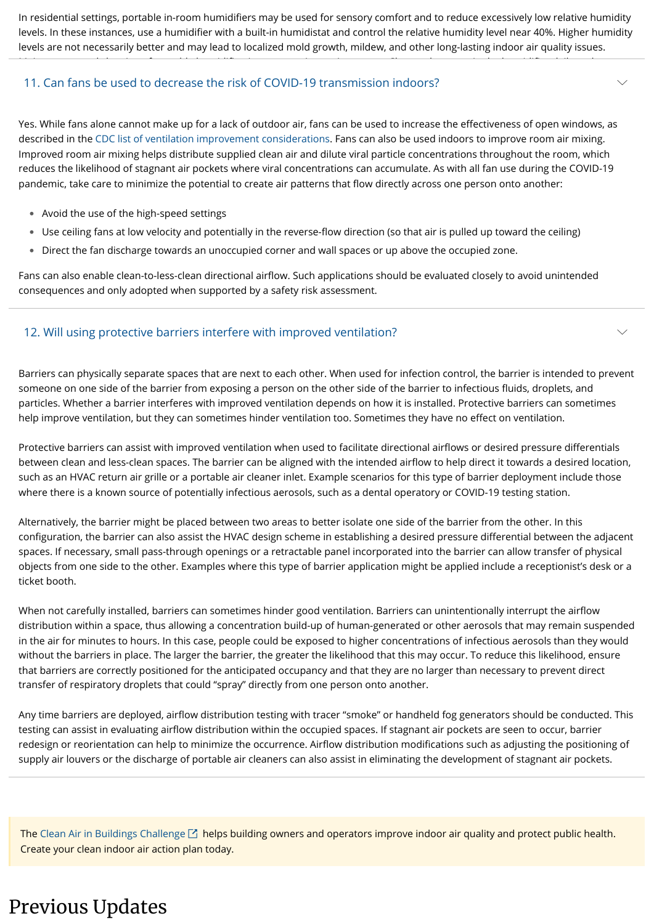In residential settings, portable in-room humidifiers may be used for sensory comfort and to reduce excessively low relative humidity levels. In these instances, use a humidifier with a built-in humidistat and control the relative humidity level near 40%. Higher humidity levels are not necessarily better and may lead to localized mold growth, mildew, and other long-lasting indoor air quality issues.

 $\vee$ 

 $\diagdown$ 

M i de la i de la i de la i de la i de la i de la i de la i de la i de la i de la i de la i de la i de la i de

<span id="page-9-1"></span>Yes. While fans alone cannot make up for a lack of outdoor air, fans can be used to increase the effectiveness of open windows, as described in the [CDC list of ventilation improvement considerations.](https://www.cdc.gov/coronavirus/2019-ncov/community/ventilation.html) Fans can also be used indoors to improve room air mixing. Improved room air mixing helps distribute supplied clean air and dilute viral particle concentrations throughout the room, which reduces the likelihood of stagnant air pockets where viral concentrations can accumulate. As with all fan use during the COVID-19 pandemic, take care to minimize the potential to create air patterns that flow directly across one person onto another:

- Avoid the use of the high-speed settings •
- Use ceiling fans at low velocity and potentially in the reverse-flow direction (so that air is pulled up toward the ceiling) •
- Direct the fan discharge towards an unoccupied corner and wall spaces or up above the occupied zone. •

Fans can also enable clean-to-less-clean directional airflow. Such applications should be evaluated closely to avoid unintended consequences and only adopted when supported by a safety risk assessment.

## 11. Can fans be used to decrease the risk of COVID-19 transmission indoors?

Barriers can physically separate spaces that are next to each other. When used for infection control, the barrier is intended to prevent someone on one side of the barrier from exposing a person on the other side of the barrier to infectious fluids, droplets, and particles. Whether a barrier interferes with improved ventilation depends on how it is installed. Protective barriers can sometimes help improve ventilation, but they can sometimes hinder ventilation too. Sometimes they have no effect on ventilation.

The [Clean Air in Buildings Challenge](https://www.epa.gov/indoor-air-quality-iaq/clean-air-buildings-challenge)  $\boxtimes$  helps building owners and operators improve indoor air quality and protect public health. Create your clean indoor air action plan today.

Protective barriers can assist with improved ventilation when used to facilitate directional airflows or desired pressure differentials between clean and less-clean spaces. The barrier can be aligned with the intended airflow to help direct it towards a desired location, such as an HVAC return air grille or a portable air cleaner inlet. Example scenarios for this type of barrier deployment include those where there is a known source of potentially infectious aerosols, such as a dental operatory or COVID-19 testing station.

Alternatively, the barrier might be placed between two areas to better isolate one side of the barrier from the other. In this configuration, the barrier can also assist the HVAC design scheme in establishing a desired pressure differential between the adjacent spaces. If necessary, small pass-through openings or a retractable panel incorporated into the barrier can allow transfer of physical objects from one side to the other. Examples where this type of barrier application might be applied include a receptionist's desk or a ticket booth.

When not carefully installed, barriers can sometimes hinder good ventilation. Barriers can unintentionally interrupt the airflow distribution within a space, thus allowing a concentration build-up of human-generated or other aerosols that may remain suspended in the air for minutes to hours. In this case, people could be exposed to higher concentrations of infectious aerosols than they would without the barriers in place. The larger the barrier, the greater the likelihood that this may occur. To reduce this likelihood, ensure that barriers are correctly positioned for the anticipated occupancy and that they are no larger than necessary to prevent direct transfer of respiratory droplets that could "spray" directly from one person onto another.

Any time barriers are deployed, airflow distribution testing with tracer "smoke" or handheld fog generators should be conducted. This testing can assist in evaluating airflow distribution within the occupied spaces. If stagnant air pockets are seen to occur, barrier redesign or reorientation can help to minimize the occurrence. Airflow distribution modifications such as adjusting the positioning of supply air louvers or the discharge of portable air cleaners can also assist in eliminating the development of stagnant air pockets.

## 12. Will using protective barriers interfere with improved ventilation?

# <span id="page-9-0"></span>Previous Updates